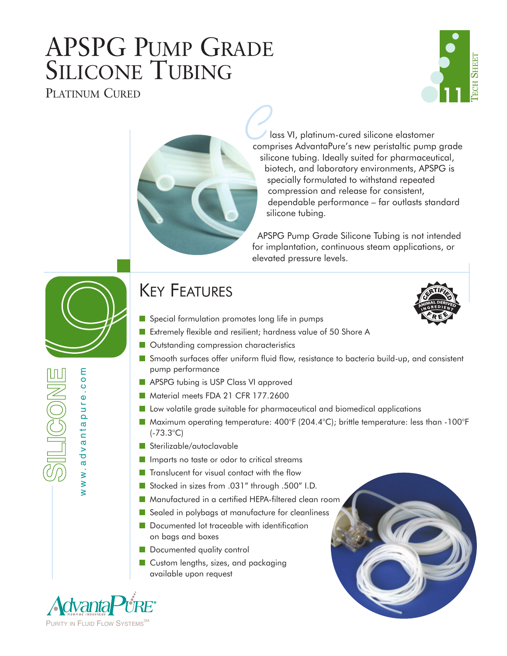# APSPG PUMP GRADE SILICONE TUBING





lass VI, platinum-cured silicone elastomer **Comprises AdvantaPure's new peristaltic pump grade** silicone tubing. Ideally suited for pharmaceutical, biotech, and laboratory environments, APSPG is specially formulated to withstand repeated compression and release for consistent, dependable performance – far outlasts standard silicone tubing.

APSPG Pump Grade Silicone Tubing is not intended for implantation, continuous steam applications, or elevated pressure levels.

# KEY FEATURES



- Extremely flexible and resilient; hardness value of 50 Shore A
- Outstanding compression characteristics
- Smooth surfaces offer uniform fluid flow, resistance to bacteria build-up, and consistent pump performance
- APSPG tubing is USP Class VI approved
- Material meets FDA 21 CFR 177.2600
- Low volatile grade suitable for pharmaceutical and biomedical applications
- Maximum operating temperature: 400°F (204.4°C); brittle temperature: less than -100°F (-73.3°C)
- Sterilizable/autoclavable
- Imparts no taste or odor to critical streams
- Translucent for visual contact with the flow
- Stocked in sizes from .031" through .500" I.D.
- Manufactured in a certified HEPA-filtered clean room
- Sealed in polybags at manufacture for cleanliness
- Documented lot traceable with identification on bags and boxes
- Documented quality control
- Custom lengths, sizes, and packaging available upon request



www.advantapure.com

www.advantapure.com

**FINGOME**